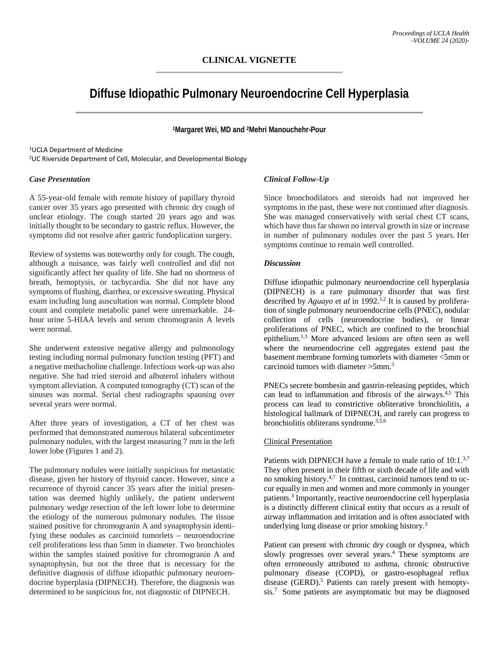# **Diffuse Idiopathic Pulmonary Neuroendocrine Cell Hyperplasia**

**1Margaret Wei, MD and 2Mehri Manouchehr-Pour**

1UCLA Department of Medicine 2UC Riverside Department of Cell, Molecular, and Developmental Biology

## *Case Presentation*

A 55-year-old female with remote history of papillary thyroid cancer over 35 years ago presented with chronic dry cough of unclear etiology. The cough started 20 years ago and was initially thought to be secondary to gastric reflux. However, the symptoms did not resolve after gastric fundoplication surgery.

Review of systems was noteworthy only for cough. The cough, although a nuisance, was fairly well controlled and did not significantly affect her quality of life. She had no shortness of breath, hemoptysis, or tachycardia. She did not have any symptoms of flushing, diarrhea, or excessive sweating. Physical exam including lung auscultation was normal. Complete blood count and complete metabolic panel were unremarkable. 24 hour urine 5-HIAA levels and serum chromogranin A levels were normal.

She underwent extensive negative allergy and pulmonology testing including normal pulmonary function testing (PFT) and a negative methacholine challenge. Infectious work-up was also negative. She had tried steroid and albuterol inhalers without symptom alleviation. A computed tomography (CT) scan of the sinuses was normal. Serial chest radiographs spanning over several years were normal.

After three years of investigation, a CT of her chest was performed that demonstrated numerous bilateral subcentimeter pulmonary nodules, with the largest measuring 7 mm in the left lower lobe (Figures 1 and 2).

The pulmonary nodules were initially suspicious for metastatic disease, given her history of thyroid cancer. However, since a recurrence of thyroid cancer 35 years after the initial presentation was deemed highly unlikely, the patient underwent pulmonary wedge resection of the left lower lobe to determine the etiology of the numerous pulmonary nodules. The tissue stained positive for chromogranin A and synaptophysin identifying these nodules as carcinoid tumorlets – neuroendocrine cell proliferations less than 5mm in diameter. Two bronchioles within the samples stained positive for chromogranin A and synaptophysin, but not the three that is necessary for the definitive diagnosis of diffuse idiopathic pulmonary neuroendocrine hyperplasia (DIPNECH). Therefore, the diagnosis was determined to be suspicious for, not diagnostic of DIPNECH.

# *Clinical Follow-Up*

Since bronchodilators and steroids had not improved her symptoms in the past, these were not continued after diagnosis. She was managed conservatively with serial chest CT scans, which have thus far shown no interval growth in size or increase in number of pulmonary nodules over the past 5 years. Her symptoms continue to remain well controlled.

## *Discussion*

Diffuse idiopathic pulmonary neuroendocrine cell hyperplasia (DIPNECH) is a rare pulmonary disorder that was first described by *Aguayo et al* in 1992.<sup>1,2</sup> It is caused by proliferation of single pulmonary neuroendocrine cells (PNEC), nodular collection of cells (neuroendocrine bodies), or linear proliferations of PNEC, which are confined to the bronchial epithelium.<sup>1,3</sup> More advanced lesions are often seen as well where the neuroendocrine cell aggregates extend past the basement membrane forming tumorlets with diameter <5mm or carcinoid tumors with diameter >5mm.3

PNECs secrete bombesin and gastrin-releasing peptides, which can lead to inflammation and fibrosis of the airways.4,5 This process can lead to constrictive obliterative bronchiolitis, a histological hallmark of DIPNECH, and rarely can progress to bronchiolitis obliterans syndrome.3,5,6

## Clinical Presentation

Patients with DIPNECH have a female to male ratio of 10:1.<sup>3,7</sup> They often present in their fifth or sixth decade of life and with no smoking history.4,7 In contrast, carcinoid tumors tend to occur equally in men and women and more commonly in younger patients.3 Importantly, reactive neuroendocrine cell hyperplasia is a distinctly different clinical entity that occurs as a result of airway inflammation and irritation and is often associated with underlying lung disease or prior smoking history.3

Patient can present with chronic dry cough or dyspnea, which slowly progresses over several years.<sup>4</sup> These symptoms are often erroneously attributed to asthma, chronic obstructive pulmonary disease (COPD), or gastro-esophageal reflux disease (GERD).<sup>5</sup> Patients can rarely present with hemoptysis. <sup>7</sup> Some patients are asymptomatic but may be diagnosed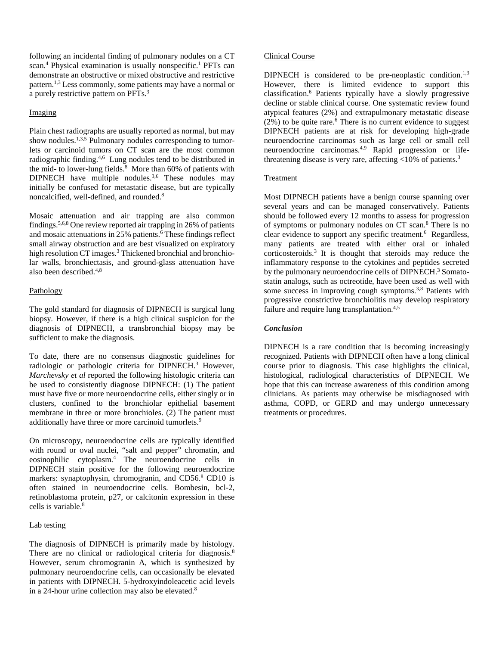following an incidental finding of pulmonary nodules on a CT scan.<sup>4</sup> Physical examination is usually nonspecific.<sup>1</sup> PFTs can demonstrate an obstructive or mixed obstructive and restrictive pattern.1,3 Less commonly, some patients may have a normal or a purely restrictive pattern on PFTs.3

# Imaging

Plain chest radiographs are usually reported as normal, but may show nodules.<sup>1,3,5</sup> Pulmonary nodules corresponding to tumorlets or carcinoid tumors on CT scan are the most common radiographic finding.4,6 Lung nodules tend to be distributed in the mid- to lower-lung fields. $8$  More than 60% of patients with DIPNECH have multiple nodules.<sup>3,6</sup> These nodules may initially be confused for metastatic disease, but are typically noncalcified, well-defined, and rounded.8

Mosaic attenuation and air trapping are also common findings.5,6,8 One review reported air trapping in 26% of patients and mosaic attenuations in 25% patients.<sup>6</sup> These findings reflect small airway obstruction and are best visualized on expiratory high resolution CT images.<sup>3</sup> Thickened bronchial and bronchiolar walls, bronchiectasis, and ground-glass attenuation have also been described.4,8

## Pathology

The gold standard for diagnosis of DIPNECH is surgical lung biopsy. However, if there is a high clinical suspicion for the diagnosis of DIPNECH, a transbronchial biopsy may be sufficient to make the diagnosis.

To date, there are no consensus diagnostic guidelines for radiologic or pathologic criteria for DIPNECH.<sup>3</sup> However, *Marchevsky et al* reported the following histologic criteria can be used to consistently diagnose DIPNECH: (1) The patient must have five or more neuroendocrine cells, either singly or in clusters, confined to the bronchiolar epithelial basement membrane in three or more bronchioles. (2) The patient must additionally have three or more carcinoid tumorlets.<sup>9</sup>

On microscopy, neuroendocrine cells are typically identified with round or oval nuclei, "salt and pepper" chromatin, and eosinophilic cytoplasm.4 The neuroendocrine cells in DIPNECH stain positive for the following neuroendocrine markers: synaptophysin, chromogranin, and CD56.<sup>8</sup> CD10 is often stained in neuroendocrine cells. Bombesin, bcl-2, retinoblastoma protein, p27, or calcitonin expression in these cells is variable.<sup>8</sup>

# Lab testing

The diagnosis of DIPNECH is primarily made by histology. There are no clinical or radiological criteria for diagnosis.<sup>8</sup> However, serum chromogranin A, which is synthesized by pulmonary neuroendocrine cells, can occasionally be elevated in patients with DIPNECH. 5-hydroxyindoleacetic acid levels in a 24-hour urine collection may also be elevated.<sup>8</sup>

## Clinical Course

DIPNECH is considered to be pre-neoplastic condition.<sup>1,3</sup> However, there is limited evidence to support this classification.6 Patients typically have a slowly progressive decline or stable clinical course. One systematic review found atypical features (2%) and extrapulmonary metastatic disease  $(2\%)$  to be quite rare.<sup>6</sup> There is no current evidence to suggest DIPNECH patients are at risk for developing high-grade neuroendocrine carcinomas such as large cell or small cell neuroendocrine carcinomas.4,9 Rapid progression or lifethreatening disease is very rare, affecting  $\langle 10\%$  of patients.<sup>3</sup>

## Treatment

Most DIPNECH patients have a benign course spanning over several years and can be managed conservatively. Patients should be followed every 12 months to assess for progression of symptoms or pulmonary nodules on CT scan.8 There is no clear evidence to support any specific treatment.<sup>6</sup> Regardless, many patients are treated with either oral or inhaled corticosteroids.3 It is thought that steroids may reduce the inflammatory response to the cytokines and peptides secreted by the pulmonary neuroendocrine cells of DIPNECH.<sup>3</sup> Somatostatin analogs, such as octreotide, have been used as well with some success in improving cough symptoms.<sup>3,8</sup> Patients with progressive constrictive bronchiolitis may develop respiratory failure and require lung transplantation.<sup>4,5</sup>

# *Conclusion*

DIPNECH is a rare condition that is becoming increasingly recognized. Patients with DIPNECH often have a long clinical course prior to diagnosis. This case highlights the clinical, histological, radiological characteristics of DIPNECH. We hope that this can increase awareness of this condition among clinicians. As patients may otherwise be misdiagnosed with asthma, COPD, or GERD and may undergo unnecessary treatments or procedures.